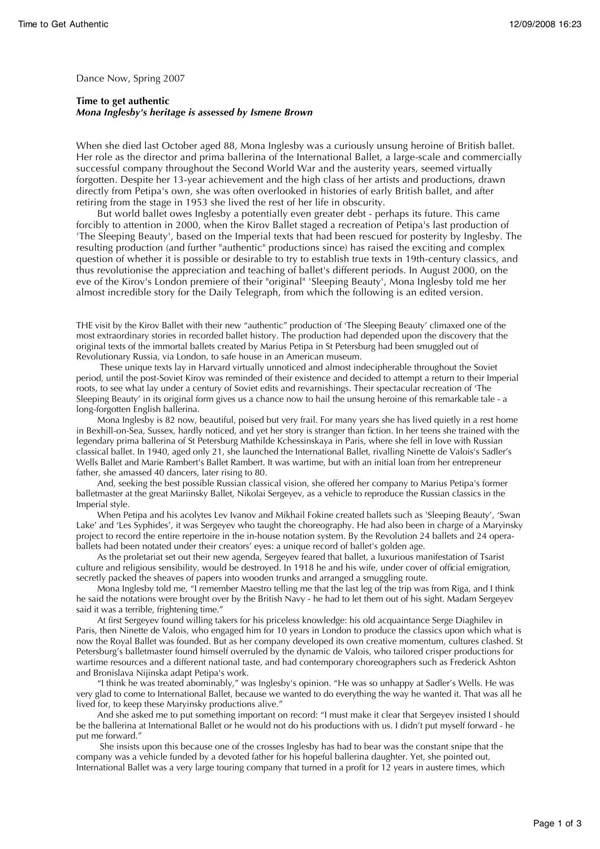Dance Now, Spring 2007

**Time to get authentic** *Mona Inglesby's heritage is assessed by Ismene Brown*

When she died last October aged 88, Mona Inglesby was a curiously unsung heroine of British ballet. Her role as the director and prima ballerina of the International Ballet, a large-scale and commercially successful company throughout the Second World War and the austerity years, seemed virtually forgotten. Despite her 13-year achievement and the high class of her artists and productions, drawn directly from Petipa's own, she was often overlooked in histories of early British ballet, and after retiring from the stage in 1953 she lived the rest of her life in obscurity.

But world ballet owes Inglesby a potentially even greater debt - perhaps its future. This came forcibly to attention in 2000, when the Kirov Ballet staged a recreation of Petipa's last production of 'The Sleeping Beauty', based on the Imperial texts that had been rescued for posterity by Inglesby. The resulting production (and further "authentic" productions since) has raised the exciting and complex question of whether it is possible or desirable to try to establish true texts in 19th-century classics, and thus revolutionise the appreciation and teaching of ballet's different periods. In August 2000, on the eve of the Kirov's London premiere of their "original" 'Sleeping Beauty', Mona Inglesby told me her almost incredible story for the Daily Telegraph, from which the following is an edited version.

THE visit by the Kirov Ballet with their new "authentic" production of 'The Sleeping Beauty' climaxed one of the most extraordinary stories in recorded ballet history. The production had depended upon the discovery that the original texts of the immortal ballets created by Marius Petipa in St Petersburg had been smuggled out of Revolutionary Russia, via London, to safe house in an American museum.

 These unique texts lay in Harvard virtually unnoticed and almost indecipherable throughout the Soviet period, until the post-Soviet Kirov was reminded of their existence and decided to attempt a return to their Imperial roots, to see what lay under a century of Soviet edits and revarnishings. Their spectacular recreation of 'The Sleeping Beauty' in its original form gives us a chance now to hail the unsung heroine of this remarkable tale - a long-forgotten English ballerina.

Mona Inglesby is 82 now, beautiful, poised but very frail. For many years she has lived quietly in a rest home in Bexhill-on-Sea, Sussex, hardly noticed, and yet her story is stranger than fiction. In her teens she trained with the legendary prima ballerina of St Petersburg Mathilde Kchessinskaya in Paris, where she fell in love with Russian classical ballet. In 1940, aged only 21, she launched the International Ballet, rivalling Ninette de Valois's Sadler's Wells Ballet and Marie Rambert's Ballet Rambert. It was wartime, but with an initial loan from her entrepreneur father, she amassed 40 dancers, later rising to 80.

And, seeking the best possible Russian classical vision, she offered her company to Marius Petipa's former balletmaster at the great Mariinsky Ballet, Nikolai Sergeyev, as a vehicle to reproduce the Russian classics in the Imperial style.

When Petipa and his acolytes Lev Ivanov and Mikhail Fokine created ballets such as 'Sleeping Beauty', 'Swan Lake' and 'Les Syphides', it was Sergeyev who taught the choreography. He had also been in charge of a Maryinsky project to record the entire repertoire in the in-house notation system. By the Revolution 24 ballets and 24 operaballets had been notated under their creators' eyes: a unique record of ballet's golden age.

As the proletariat set out their new agenda, Sergeyev feared that ballet, a luxurious manifestation of Tsarist culture and religious sensibility, would be destroyed. In 1918 he and his wife, under cover of official emigration, secretly packed the sheaves of papers into wooden trunks and arranged a smuggling route.

Mona Inglesby told me, "I remember Maestro telling me that the last leg of the trip was from Riga, and I think he said the notations were brought over by the British Navy - he had to let them out of his sight. Madam Sergeyev said it was a terrible, frightening time."

At first Sergeyev found willing takers for his priceless knowledge: his old acquaintance Serge Diaghilev in Paris, then Ninette de Valois, who engaged him for 10 years in London to produce the classics upon which what is now the Royal Ballet was founded. But as her company developed its own creative momentum, cultures clashed. St Petersburg's balletmaster found himself overruled by the dynamic de Valois, who tailored crisper productions for wartime resources and a different national taste, and had contemporary choreographers such as Frederick Ashton and Bronislava Nijinska adapt Petipa's work.

"I think he was treated abominably," was Inglesby's opinion. "He was so unhappy at Sadler's Wells. He was very glad to come to International Ballet, because we wanted to do everything the way he wanted it. That was all he lived for, to keep these Maryinsky productions alive."

And she asked me to put something important on record: "I must make it clear that Sergeyev insisted I should be the ballerina at International Ballet or he would not do his productions with us. I didn't put myself forward - he put me forward."

 She insists upon this because one of the crosses Inglesby has had to bear was the constant snipe that the company was a vehicle funded by a devoted father for his hopeful ballerina daughter. Yet, she pointed out, International Ballet was a very large touring company that turned in a profit for 12 years in austere times, which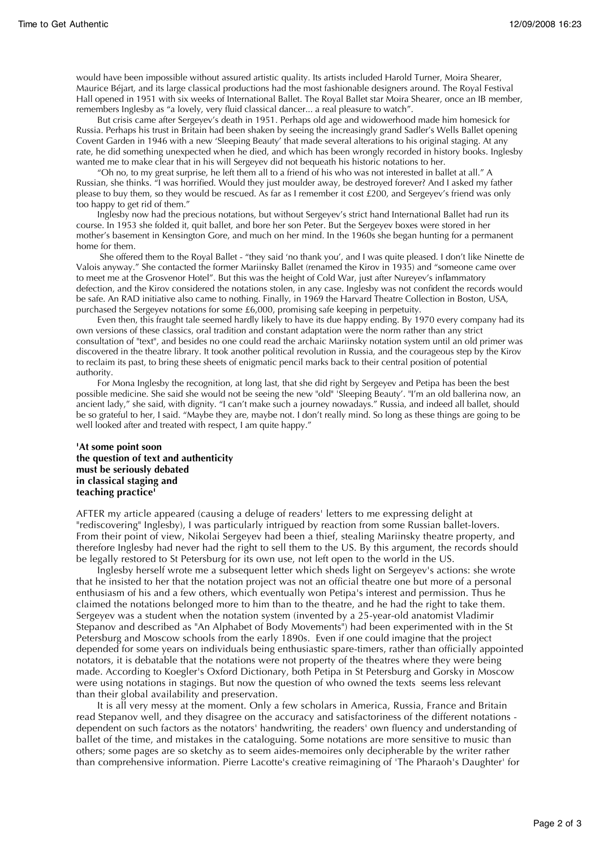would have been impossible without assured artistic quality. Its artists included Harold Turner, Moira Shearer, Maurice Béjart, and its large classical productions had the most fashionable designers around. The Royal Festival Hall opened in 1951 with six weeks of International Ballet. The Royal Ballet star Moira Shearer, once an IB member, remembers Inglesby as "a lovely, very fluid classical dancer... a real pleasure to watch".

But crisis came after Sergeyev's death in 1951. Perhaps old age and widowerhood made him homesick for Russia. Perhaps his trust in Britain had been shaken by seeing the increasingly grand Sadler's Wells Ballet opening Covent Garden in 1946 with a new 'Sleeping Beauty' that made several alterations to his original staging. At any rate, he did something unexpected when he died, and which has been wrongly recorded in history books. Inglesby wanted me to make clear that in his will Sergeyev did not bequeath his historic notations to her.

"Oh no, to my great surprise, he left them all to a friend of his who was not interested in ballet at all." A Russian, she thinks. "I was horrified. Would they just moulder away, be destroyed forever? And I asked my father please to buy them, so they would be rescued. As far as I remember it cost £200, and Sergeyev's friend was only too happy to get rid of them."

Inglesby now had the precious notations, but without Sergeyev's strict hand International Ballet had run its course. In 1953 she folded it, quit ballet, and bore her son Peter. But the Sergeyev boxes were stored in her mother's basement in Kensington Gore, and much on her mind. In the 1960s she began hunting for a permanent home for them.

 She offered them to the Royal Ballet - "they said 'no thank you', and I was quite pleased. I don't like Ninette de Valois anyway." She contacted the former Mariinsky Ballet (renamed the Kirov in 1935) and "someone came over to meet me at the Grosvenor Hotel". But this was the height of Cold War, just after Nureyev's inflammatory defection, and the Kirov considered the notations stolen, in any case. Inglesby was not confident the records would be safe. An RAD initiative also came to nothing. Finally, in 1969 the Harvard Theatre Collection in Boston, USA, purchased the Sergeyev notations for some £6,000, promising safe keeping in perpetuity.

Even then, this fraught tale seemed hardly likely to have its due happy ending. By 1970 every company had its own versions of these classics, oral tradition and constant adaptation were the norm rather than any strict consultation of "text", and besides no one could read the archaic Mariinsky notation system until an old primer was discovered in the theatre library. It took another political revolution in Russia, and the courageous step by the Kirov to reclaim its past, to bring these sheets of enigmatic pencil marks back to their central position of potential authority.

For Mona Inglesby the recognition, at long last, that she did right by Sergeyev and Petipa has been the best possible medicine. She said she would not be seeing the new "old" 'Sleeping Beauty'. "I'm an old ballerina now, an ancient lady," she said, with dignity. "I can't make such a journey nowadays." Russia, and indeed all ballet, should be so grateful to her, I said. "Maybe they are, maybe not. I don't really mind. So long as these things are going to be well looked after and treated with respect, I am quite happy."

## **'At some point soon the question of text and authenticity must be seriously debated in classical staging and teaching practice'**

AFTER my article appeared (causing a deluge of readers' letters to me expressing delight at "rediscovering" Inglesby), I was particularly intrigued by reaction from some Russian ballet-lovers. From their point of view, Nikolai Sergeyev had been a thief, stealing Mariinsky theatre property, and therefore Inglesby had never had the right to sell them to the US. By this argument, the records should be legally restored to St Petersburg for its own use, not left open to the world in the US.

Inglesby herself wrote me a subsequent letter which sheds light on Sergeyev's actions: she wrote that he insisted to her that the notation project was not an official theatre one but more of a personal enthusiasm of his and a few others, which eventually won Petipa's interest and permission. Thus he claimed the notations belonged more to him than to the theatre, and he had the right to take them. Sergeyev was a student when the notation system (invented by a 25-year-old anatomist Vladimir Stepanov and described as "An Alphabet of Body Movements") had been experimented with in the St Petersburg and Moscow schools from the early 1890s. Even if one could imagine that the project depended for some years on individuals being enthusiastic spare-timers, rather than officially appointed notators, it is debatable that the notations were not property of the theatres where they were being made. According to Koegler's Oxford Dictionary, both Petipa in St Petersburg and Gorsky in Moscow were using notations in stagings. But now the question of who owned the texts seems less relevant than their global availability and preservation.

It is all very messy at the moment. Only a few scholars in America, Russia, France and Britain read Stepanov well, and they disagree on the accuracy and satisfactoriness of the different notations dependent on such factors as the notators' handwriting, the readers' own fluency and understanding of ballet of the time, and mistakes in the cataloguing. Some notations are more sensitive to music than others; some pages are so sketchy as to seem aides-memoires only decipherable by the writer rather than comprehensive information. Pierre Lacotte's creative reimagining of 'The Pharaoh's Daughter' for